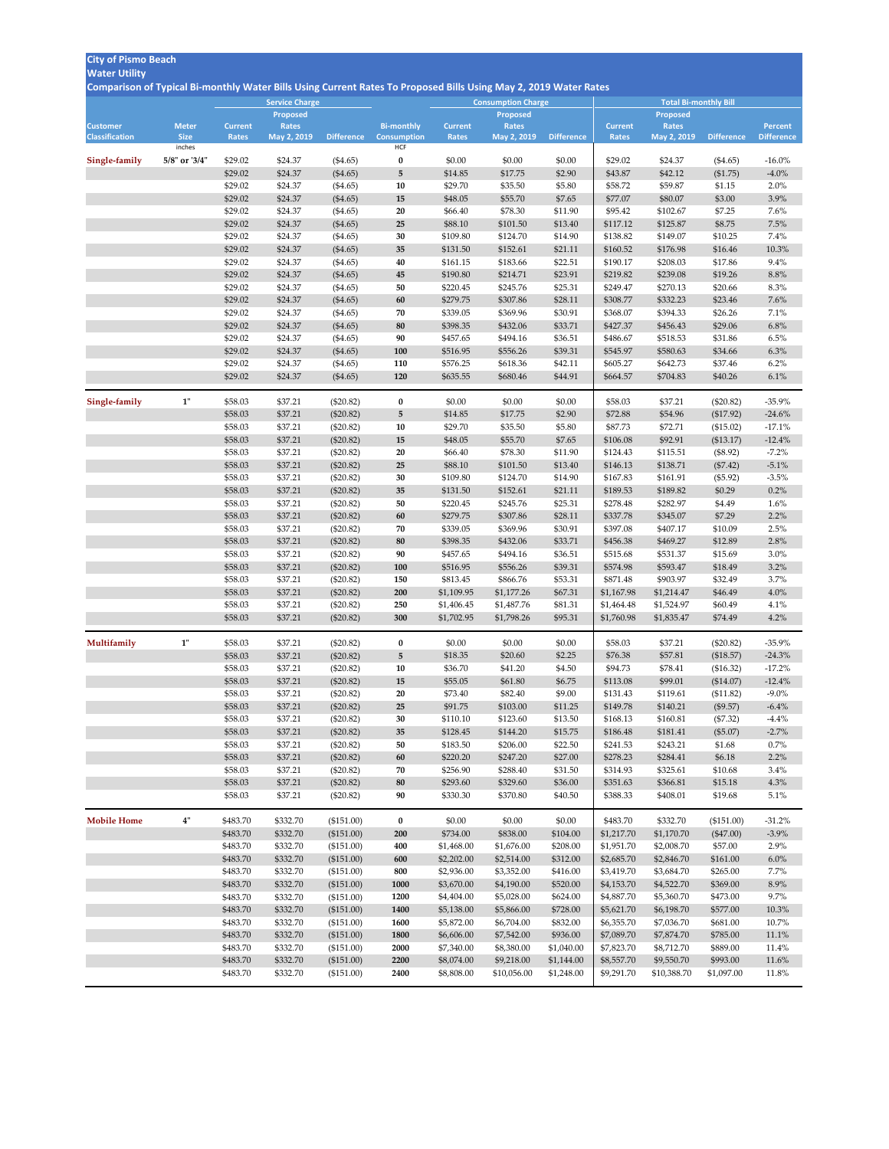## **City of Pismo Beach**

## **Water Utility**

**Comparison of Typical Bi-monthly Water Bills Using Current Rates To Proposed Bills Using May 2, 2019 Water Rates**

|                       |                       |                    | <b>Service Charge</b><br><b>Consumption Charge</b> |                            |                                  |                      |                      |                    | <b>Total Bi-monthly Bill</b> |                      |                       |                      |  |  |
|-----------------------|-----------------------|--------------------|----------------------------------------------------|----------------------------|----------------------------------|----------------------|----------------------|--------------------|------------------------------|----------------------|-----------------------|----------------------|--|--|
|                       |                       |                    | <b>Proposed</b>                                    |                            |                                  |                      | <b>Proposed</b>      |                    |                              | <b>Proposed</b>      |                       |                      |  |  |
| <b>Customer</b>       | <b>Meter</b>          | <b>Current</b>     | <b>Rates</b>                                       |                            | <b>Bi-monthly</b>                | <b>Current</b>       | <b>Rates</b>         |                    | <b>Current</b>               | <b>Rates</b>         |                       | <b>Percent</b>       |  |  |
| <b>Classification</b> | <b>Size</b><br>inches | Rates              | May 2, 2019                                        | <b>Difference</b>          | <b>Consumption</b><br><b>HCF</b> | Rates                | May 2, 2019          | <b>Difference</b>  | <b>Rates</b>                 | May 2, 2019          | <b>Difference</b>     | <b>Difference</b>    |  |  |
| Single-family         | 5/8" or '3/4"         | \$29.02            | \$24.37                                            | $(\$4.65)$                 | $\boldsymbol{0}$                 | \$0.00               | \$0.00               | \$0.00             | \$29.02                      | \$24.37              | $(\$4.65)$            | $-16.0\%$            |  |  |
|                       |                       | \$29.02            | \$24.37                                            | (\$4.65)                   | 5                                | \$14.85              | \$17.75              | \$2.90             | \$43.87                      | \$42.12              | (\$1.75)              | $-4.0\%$             |  |  |
|                       |                       | \$29.02            | \$24.37                                            | (\$4.65)                   | 10                               | \$29.70              | \$35.50              | \$5.80             | \$58.72                      | \$59.87              | \$1.15                | 2.0%                 |  |  |
|                       |                       | \$29.02            | \$24.37                                            | (\$4.65)                   | 15                               | \$48.05              | \$55.70              | \$7.65             | \$77.07                      | \$80.07              | \$3.00                | 3.9%                 |  |  |
|                       |                       | \$29.02            | \$24.37                                            | (\$4.65)                   | 20                               | \$66.40              | \$78.30              | \$11.90            | \$95.42                      | \$102.67             | \$7.25                | 7.6%                 |  |  |
|                       |                       | \$29.02            | \$24.37                                            | $(\$4.65)$                 | 25                               | \$88.10              | \$101.50             | \$13.40            | \$117.12                     | \$125.87             | \$8.75                | 7.5%                 |  |  |
|                       |                       | \$29.02            | \$24.37                                            | (\$4.65)                   | 30                               | \$109.80             | \$124.70             | \$14.90            | \$138.82                     | \$149.07             | \$10.25               | 7.4%                 |  |  |
|                       |                       | \$29.02            | \$24.37                                            | $(\$4.65)$                 | 35                               | \$131.50             | \$152.61             | \$21.11            | \$160.52                     | \$176.98             | \$16.46               | 10.3%                |  |  |
|                       |                       | \$29.02            | \$24.37                                            | (\$4.65)                   | 40                               | \$161.15             | \$183.66             | \$22.51            | \$190.17                     | \$208.03             | \$17.86               | 9.4%                 |  |  |
|                       |                       | \$29.02            | \$24.37                                            | (\$4.65)                   | 45                               | \$190.80             | \$214.71             | \$23.91            | \$219.82                     | \$239.08             | \$19.26               | 8.8%                 |  |  |
|                       |                       | \$29.02            | \$24.37                                            | (\$4.65)                   | 50                               | \$220.45             | \$245.76             | \$25.31            | \$249.47                     | \$270.13             | \$20.66               | 8.3%                 |  |  |
|                       |                       | \$29.02            | \$24.37                                            | (\$4.65)                   | 60                               | \$279.75             | \$307.86             | \$28.11            | \$308.77                     | \$332.23             | \$23.46               | 7.6%                 |  |  |
|                       |                       | \$29.02            | \$24.37                                            | (\$4.65)                   | 70                               | \$339.05             | \$369.96             | \$30.91            | \$368.07                     | \$394.33             | \$26.26               | 7.1%                 |  |  |
|                       |                       | \$29.02            | \$24.37                                            | (\$4.65)                   | 80                               | \$398.35             | \$432.06             | \$33.71            | \$427.37                     | \$456.43             | \$29.06               | 6.8%                 |  |  |
|                       |                       | \$29.02            | \$24.37                                            | (\$4.65)                   | 90                               | \$457.65             | \$494.16             | \$36.51            | \$486.67                     | \$518.53             | \$31.86               | 6.5%                 |  |  |
|                       |                       | \$29.02            | \$24.37                                            | (\$4.65)                   | <b>100</b>                       | \$516.95             | \$556.26             | \$39.31            | \$545.97                     | \$580.63             | \$34.66               | 6.3%                 |  |  |
|                       |                       | \$29.02            | \$24.37                                            | (\$4.65)                   | 110                              | \$576.25             | \$618.36             | \$42.11            | \$605.27                     | \$642.73             | \$37.46               | 6.2%                 |  |  |
|                       |                       | \$29.02            | \$24.37                                            | (\$4.65)                   | 120                              | \$635.55             | \$680.46             | \$44.91            | \$664.57                     | \$704.83             | \$40.26               | 6.1%                 |  |  |
| Single-family         | 1"                    | \$58.03            | \$37.21                                            | $(\$20.82)$                | $\bf{0}$                         | \$0.00               | \$0.00               | \$0.00             | \$58.03                      | \$37.21              | $(\$20.82)$           | $-35.9\%$            |  |  |
|                       |                       | \$58.03            | \$37.21                                            | $(\$20.82)$                | 5                                | \$14.85              | \$17.75              | \$2.90             | \$72.88                      | \$54.96              | (\$17.92)             | $-24.6%$             |  |  |
|                       |                       | \$58.03            | \$37.21                                            | $(\$20.82)$                | 10                               | \$29.70              | \$35.50              | \$5.80             | \$87.73                      | \$72.71              | (\$15.02)             | $-17.1%$             |  |  |
|                       |                       | \$58.03            | \$37.21                                            | $(\$20.82)$                | 15                               | \$48.05              | \$55.70              | \$7.65             | \$106.08                     | \$92.91              | (\$13.17)             | $-12.4%$             |  |  |
|                       |                       | \$58.03            | \$37.21                                            | $(\$20.82)$                | 20                               | \$66.40              | \$78.30              | \$11.90            | \$124.43                     | \$115.51             | $(\$8.92)$            | $-7.2\%$             |  |  |
|                       |                       | \$58.03            | \$37.21                                            | $(\$20.82)$                | 25                               | \$88.10              | \$101.50             | \$13.40            | \$146.13                     | \$138.71             | $(\$7.42)$            | $-5.1\%$             |  |  |
|                       |                       | \$58.03            | \$37.21                                            | $(\$20.82)$                | 30                               | \$109.80             | \$124.70             | \$14.90            | \$167.83                     | \$161.91             | $(\$5.92)$            | $-3.5\%$             |  |  |
|                       |                       | \$58.03            | \$37.21                                            | $(\$20.82)$                | 35                               | \$131.50             | \$152.61             | \$21.11            | \$189.53                     | \$189.82             | \$0.29                | $0.2\%$              |  |  |
|                       |                       | \$58.03            | \$37.21                                            | $(\$20.82)$                | 50                               | \$220.45             | \$245.76             | \$25.31            | \$278.48                     | \$282.97             | \$4.49                | 1.6%                 |  |  |
|                       |                       | \$58.03            | \$37.21                                            | $(\$20.82)$                | 60                               | \$279.75             | \$307.86             | \$28.11            | \$337.78                     | \$345.07             | \$7.29                | $2.2\%$              |  |  |
|                       |                       | \$58.03            | \$37.21                                            | $(\$20.82)$                | 70                               | \$339.05             | \$369.96             | \$30.91            | \$397.08                     | \$407.17             | \$10.09               | 2.5%                 |  |  |
|                       |                       | \$58.03            | \$37.21                                            | $(\$20.82)$                | 80                               | \$398.35             | \$432.06             | \$33.71            | \$456.38                     | \$469.27             | \$12.89               | 2.8%                 |  |  |
|                       |                       | \$58.03<br>\$58.03 | \$37.21<br>\$37.21                                 | $(\$20.82)$                | 90<br><b>100</b>                 | \$457.65<br>\$516.95 | \$494.16<br>\$556.26 | \$36.51<br>\$39.31 | \$515.68<br>\$574.98         | \$531.37<br>\$593.47 | \$15.69<br>\$18.49    | $3.0\%$<br>$3.2\%$   |  |  |
|                       |                       | \$58.03            | \$37.21                                            | $(\$20.82)$<br>$(\$20.82)$ | 150                              | \$813.45             | \$866.76             | \$53.31            | \$871.48                     | \$903.97             | \$32.49               | 3.7%                 |  |  |
|                       |                       | \$58.03            | \$37.21                                            | $(\$20.82)$                | 200                              | \$1,109.95           | \$1,177.26           | \$67.31            | \$1,167.98                   | \$1,214.47           | \$46.49               | 4.0%                 |  |  |
|                       |                       | \$58.03            | \$37.21                                            | $(\$20.82)$                | 250                              | \$1,406.45           | \$1,487.76           | \$81.31            | \$1,464.48                   | \$1,524.97           | \$60.49               | 4.1%                 |  |  |
|                       |                       | \$58.03            | \$37.21                                            | $(\$20.82)$                | 300                              | \$1,702.95           | \$1,798.26           | \$95.31            | \$1,760.98                   | \$1,835.47           | \$74.49               | 4.2%                 |  |  |
|                       |                       |                    |                                                    |                            |                                  |                      |                      |                    |                              |                      |                       |                      |  |  |
| Multifamily           | 1"                    | \$58.03            | \$37.21                                            | $(\$20.82)$                | $\boldsymbol{0}$                 | \$0.00               | \$0.00               | \$0.00             | \$58.03                      | \$37.21              | $(\$20.82)$           | $-35.9\%$            |  |  |
|                       |                       | \$58.03            | \$37.21                                            | $(\$20.82)$                | 5 <sub>5</sub>                   | \$18.35              | \$20.60              | \$2.25             | \$76.38                      | \$57.81              | (\$18.57)             | $-24.3%$             |  |  |
|                       |                       | \$58.03            | \$37.21                                            | $(\$20.82)$                | 10                               | \$36.70<br>\$55.05   | \$41.20              | \$4.50             | \$94.73<br>\$113.08          | \$78.41              | (\$16.32)             | $-17.2\%$            |  |  |
|                       |                       | \$58.03<br>\$58.03 | \$37.21<br>\$37.21                                 | $(\$20.82)$                | 15<br>20                         | \$73.40              | \$61.80<br>\$82.40   | \$6.75<br>\$9.00   | \$131.43                     | \$99.01<br>\$119.61  | (\$14.07)             | $-12.4%$<br>$-9.0\%$ |  |  |
|                       |                       | \$58.03            | \$37.21                                            | $(\$20.82)$<br>$(\$20.82)$ | 25                               | \$91.75              | \$103.00             | \$11.25            | \$149.78                     | \$140.21             | (\$11.82)<br>(\$9.57) | $-6.4\%$             |  |  |
|                       |                       | \$58.03            | \$37.21                                            | $(\$20.82)$                | 30                               | \$110.10             | \$123.60             | \$13.50            | \$168.13                     | \$160.81             | (\$7.32)              | $-4.4\%$             |  |  |
|                       |                       | \$58.03            | \$37.21                                            | $(\$20.82)$                | 35                               | \$128.45             | \$144.20             | \$15.75            | \$186.48                     | \$181.41             | (\$5.07)              | $-2.7\%$             |  |  |
|                       |                       | \$58.03            | \$37.21                                            | $(\$20.82)$                | 50                               | \$183.50             | \$206.00             | \$22.50            | \$241.53                     | \$243.21             | \$1.68                | $0.7\%$              |  |  |
|                       |                       | \$58.03            | \$37.21                                            | $(\$20.82)$                | 60                               | \$220.20             | \$247.20             | \$27.00            | \$278.23                     | \$284.41             | \$6.18                | 2.2%                 |  |  |
|                       |                       | \$58.03            | \$37.21                                            | $(\$20.82)$                | 70                               | \$256.90             | \$288.40             | \$31.50            | \$314.93                     | \$325.61             | \$10.68               | 3.4%                 |  |  |
|                       |                       | \$58.03            | \$37.21                                            | $(\$20.82)$                | 80                               | \$293.60             | \$329.60             | \$36.00            | \$351.63                     | \$366.81             | \$15.18               | 4.3%                 |  |  |
|                       |                       | \$58.03            | \$37.21                                            | $(\$20.82)$                | 90                               | \$330.30             | \$370.80             | \$40.50            | \$388.33                     | \$408.01             | \$19.68               | 5.1%                 |  |  |
| <b>Mobile Home</b>    | 4"                    | \$483.70           | \$332.70                                           | $(\$151.00)$               | $\bf{0}$                         | \$0.00               | \$0.00               | \$0.00             | \$483.70                     | \$332.70             | (\$151.00)            | $-31.2%$             |  |  |
|                       |                       | \$483.70           | \$332.70                                           | (\$151.00)                 | 200                              | \$734.00             | \$838.00             | \$104.00           | \$1,217.70                   | \$1,170.70           | $(\$47.00)$           | $-3.9\%$             |  |  |
|                       |                       | \$483.70           | \$332.70                                           | $(\$151.00)$               | 400                              | \$1,468.00           | \$1,676.00           | \$208.00           | \$1,951.70                   | \$2,008.70           | \$57.00               | $2.9\%$              |  |  |
|                       |                       | \$483.70           | \$332.70                                           | (\$151.00)                 | 600                              | \$2,202.00           | \$2,514.00           | \$312.00           | \$2,685.70                   | \$2,846.70           | \$161.00              | $6.0\%$              |  |  |
|                       |                       | \$483.70           | \$332.70                                           | (\$151.00)                 | 800                              | \$2,936.00           | \$3,352.00           | \$416.00           | \$3,419.70                   | \$3,684.70           | \$265.00              | $7.7\%$              |  |  |
|                       |                       | \$483.70           | \$332.70                                           | (\$151.00)                 | 1000                             | \$3,670.00           | \$4,190.00           | \$520.00           | \$4,153.70                   | \$4,522.70           | \$369.00              | 8.9%                 |  |  |
|                       |                       | \$483.70           | \$332.70                                           | (\$151.00)                 | 1200                             | \$4,404.00           | \$5,028.00           | \$624.00           | \$4,887.70                   | \$5,360.70           | \$473.00              | $9.7\%$              |  |  |
|                       |                       | \$483.70           | \$332.70                                           | (\$151.00)                 | 1400                             | \$5,138.00           | \$5,866.00           | \$728.00           | \$5,621.70                   | \$6,198.70           | \$577.00              | 10.3%                |  |  |
|                       |                       | \$483.70           | \$332.70                                           | (\$151.00)                 | 1600                             | \$5,872.00           | \$6,704.00           | \$832.00           | \$6,355.70                   | \$7,036.70           | \$681.00              | 10.7%                |  |  |
|                       |                       | \$483.70           | \$332.70                                           | (\$151.00)                 | 1800                             | \$6,606.00           | \$7,542.00           | \$936.00           | \$7,089.70                   | \$7,874.70           | \$785.00              | 11.1%                |  |  |
|                       |                       | \$483.70           | \$332.70                                           | (\$151.00)                 | 2000                             | \$7,340.00           | \$8,380.00           | \$1,040.00         | \$7,823.70                   | \$8,712.70           | \$889.00              | 11.4%                |  |  |
|                       |                       | \$483.70           | \$332.70                                           | (\$151.00)                 | 2200                             | \$8,074.00           | \$9,218.00           | \$1,144.00         | \$8,557.70                   | \$9,550.70           | \$993.00              | 11.6%                |  |  |
|                       |                       | \$483.70           | \$332.70                                           | (\$151.00)                 | 2400                             | \$8,808.00           | \$10,056.00          | \$1,248.00         | \$9,291.70                   | \$10,388.70          | \$1,097.00            | 11.8%                |  |  |